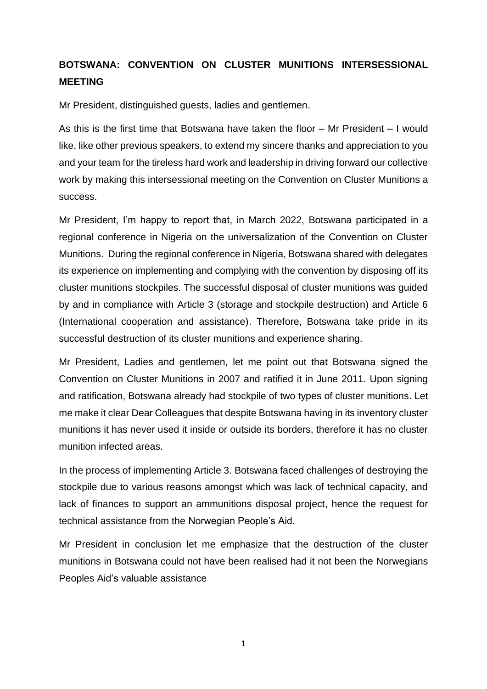## **BOTSWANA: CONVENTION ON CLUSTER MUNITIONS INTERSESSIONAL MEETING**

Mr President, distinguished guests, ladies and gentlemen.

As this is the first time that Botswana have taken the floor – Mr President – I would like, like other previous speakers, to extend my sincere thanks and appreciation to you and your team for the tireless hard work and leadership in driving forward our collective work by making this intersessional meeting on the Convention on Cluster Munitions a success.

Mr President, I'm happy to report that, in March 2022, Botswana participated in a regional conference in Nigeria on the universalization of the Convention on Cluster Munitions. During the regional conference in Nigeria, Botswana shared with delegates its experience on implementing and complying with the convention by disposing off its cluster munitions stockpiles. The successful disposal of cluster munitions was guided by and in compliance with Article 3 (storage and stockpile destruction) and Article 6 (International cooperation and assistance). Therefore, Botswana take pride in its successful destruction of its cluster munitions and experience sharing.

Mr President, Ladies and gentlemen, let me point out that Botswana signed the Convention on Cluster Munitions in 2007 and ratified it in June 2011. Upon signing and ratification, Botswana already had stockpile of two types of cluster munitions. Let me make it clear Dear Colleagues that despite Botswana having in its inventory cluster munitions it has never used it inside or outside its borders, therefore it has no cluster munition infected areas.

In the process of implementing Article 3. Botswana faced challenges of destroying the stockpile due to various reasons amongst which was lack of technical capacity, and lack of finances to support an ammunitions disposal project, hence the request for technical assistance from the Norwegian People's Aid.

Mr President in conclusion let me emphasize that the destruction of the cluster munitions in Botswana could not have been realised had it not been the Norwegians Peoples Aid's valuable assistance

1